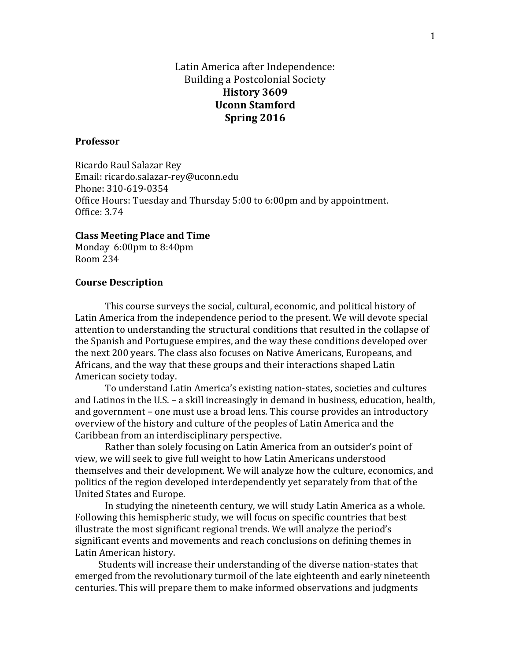# Latin America after Independence: Building a Postcolonial Society **History 3609 Uconn Stamford Spring 2016**

#### **Professor**

Ricardo Raul Salazar Rey Email: ricardo.salazar-rey@uconn.edu Phone: 310-619-0354 Office Hours: Tuesday and Thursday 5:00 to 6:00pm and by appointment. Office: 3.74

#### **Class Meeting Place and Time**

Monday 6:00pm to 8:40pm Room 234

#### **Course Description**

This course surveys the social, cultural, economic, and political history of Latin America from the independence period to the present. We will devote special attention to understanding the structural conditions that resulted in the collapse of the Spanish and Portuguese empires, and the way these conditions developed over the next 200 years. The class also focuses on Native Americans, Europeans, and Africans, and the way that these groups and their interactions shaped Latin American society today.

To understand Latin America's existing nation-states, societies and cultures and Latinos in the U.S. – a skill increasingly in demand in business, education, health, and government – one must use a broad lens. This course provides an introductory overview of the history and culture of the peoples of Latin America and the Caribbean from an interdisciplinary perspective.

Rather than solely focusing on Latin America from an outsider's point of view, we will seek to give full weight to how Latin Americans understood themselves and their development. We will analyze how the culture, economics, and politics of the region developed interdependently yet separately from that of the United States and Europe.

In studying the nineteenth century, we will study Latin America as a whole. Following this hemispheric study, we will focus on specific countries that best illustrate the most significant regional trends. We will analyze the period's significant events and movements and reach conclusions on defining themes in Latin American history.

Students will increase their understanding of the diverse nation-states that emerged from the revolutionary turmoil of the late eighteenth and early nineteenth centuries. This will prepare them to make informed observations and judgments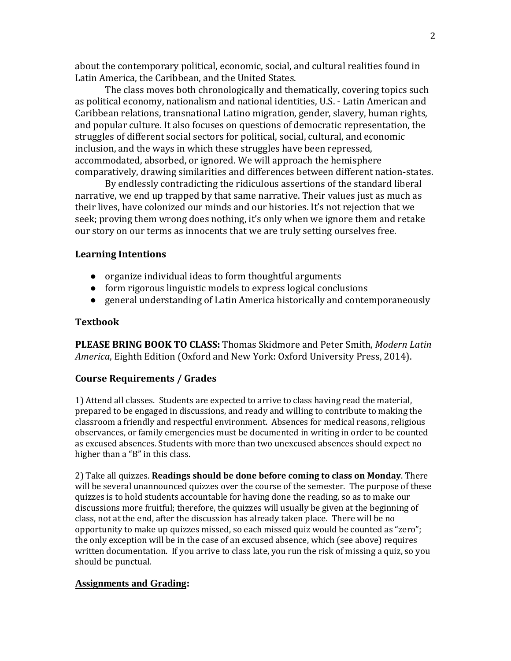about the contemporary political, economic, social, and cultural realities found in Latin America, the Caribbean, and the United States.

The class moves both chronologically and thematically, covering topics such as political economy, nationalism and national identities, U.S. - Latin American and Caribbean relations, transnational Latino migration, gender, slavery, human rights, and popular culture. It also focuses on questions of democratic representation, the struggles of different social sectors for political, social, cultural, and economic inclusion, and the ways in which these struggles have been repressed, accommodated, absorbed, or ignored. We will approach the hemisphere comparatively, drawing similarities and differences between different nation-states.

By endlessly contradicting the ridiculous assertions of the standard liberal narrative, we end up trapped by that same narrative. Their values just as much as their lives, have colonized our minds and our histories. It's not rejection that we seek; proving them wrong does nothing, it's only when we ignore them and retake our story on our terms as innocents that we are truly setting ourselves free.

### **Learning Intentions**

- organize individual ideas to form thoughtful arguments
- form rigorous linguistic models to express logical conclusions
- general understanding of Latin America historically and contemporaneously

### **Textbook**

**PLEASE BRING BOOK TO CLASS:** Thomas Skidmore and Peter Smith, *Modern Latin America*, Eighth Edition (Oxford and New York: Oxford University Press, 2014).

### **Course Requirements / Grades**

1) Attend all classes. Students are expected to arrive to class having read the material, prepared to be engaged in discussions, and ready and willing to contribute to making the classroom a friendly and respectful environment. Absences for medical reasons, religious observances, or family emergencies must be documented in writing in order to be counted as excused absences. Students with more than two unexcused absences should expect no higher than a "B" in this class.

2) Take all quizzes. **Readings should be done before coming to class on Monday**. There will be several unannounced quizzes over the course of the semester. The purpose of these quizzes is to hold students accountable for having done the reading, so as to make our discussions more fruitful; therefore, the quizzes will usually be given at the beginning of class, not at the end, after the discussion has already taken place. There will be no opportunity to make up quizzes missed, so each missed quiz would be counted as "zero"; the only exception will be in the case of an excused absence, which (see above) requires written documentation. If you arrive to class late, you run the risk of missing a quiz, so you should be punctual.

### **Assignments and Grading:**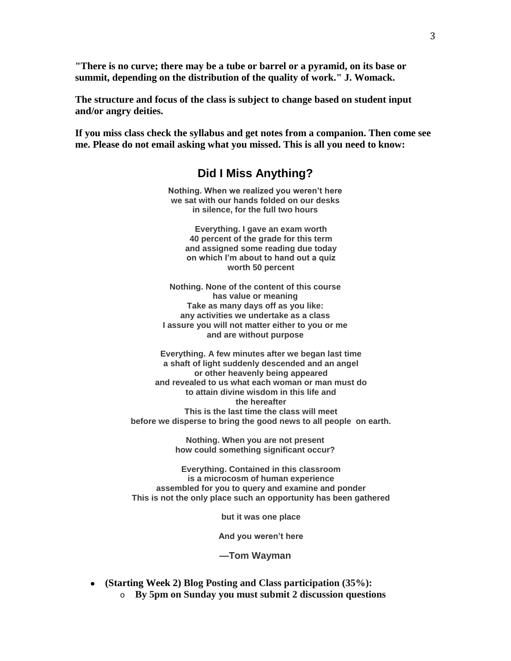**"There is no curve; there may be a tube or barrel or a pyramid, on its base or summit, depending on the distribution of the quality of work." J. Womack.**

**The structure and focus of the class is subject to change based on student input and/or angry deities.** 

**If you miss class check the syllabus and get notes from a companion. Then come see me. Please do not email asking what you missed. This is all you need to know:**

# **Did I Miss Anything?**

**Nothing. When we realized you weren't here we sat with our hands folded on our desks in silence, for the full two hours**

> **Everything. I gave an exam worth 40 percent of the grade for this term and assigned some reading due today on which I'm about to hand out a quiz worth 50 percent**

**Nothing. None of the content of this course has value or meaning Take as many days off as you like: any activities we undertake as a class I assure you will not matter either to you or me and are without purpose**

 **Everything. A few minutes after we began last time a shaft of light suddenly descended and an angel or other heavenly being appeared and revealed to us what each woman or man must do to attain divine wisdom in this life and the hereafter This is the last time the class will meet before we disperse to bring the good news to all people on earth.**

> **Nothing. When you are not present how could something significant occur?**

 **Everything. Contained in this classroom is a microcosm of human experience assembled for you to query and examine and ponder This is not the only place such an opportunity has been gathered**

 **but it was one place**

 **And you weren't here**

**—Tom Wayman**

- **(Starting Week 2) Blog Posting and Class participation (35%):**
	- o **By 5pm on Sunday you must submit 2 discussion questions**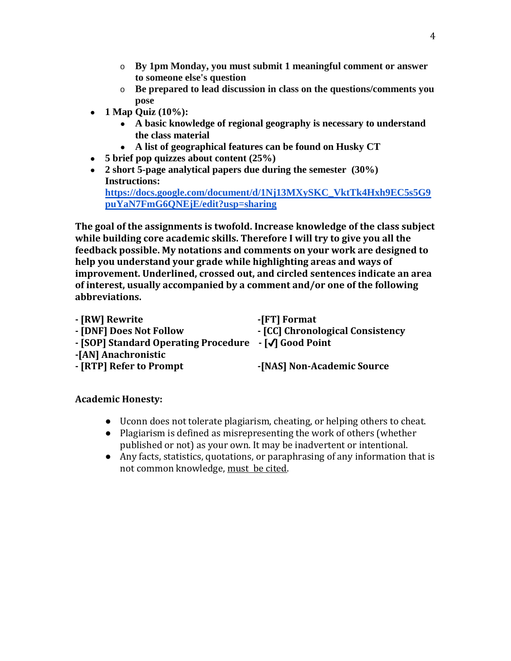- o **By 1pm Monday, you must submit 1 meaningful comment or answer to someone else's question**
- o **Be prepared to lead discussion in class on the questions/comments you pose**
- **1 Map Quiz (10%):**
	- **A basic knowledge of regional geography is necessary to understand the class material**
	- **A list of geographical features can be found on Husky CT**
- **5 brief pop quizzes about content (25%)**
- **2 short 5-page analytical papers due during the semester (30%) Instructions: [https://docs.google.com/document/d/1Nj13MXySKC\\_VktTk4Hxh9EC5s5G9](https://docs.google.com/document/d/1Nj13MXySKC_VktTk4Hxh9EC5s5G9puYaN7FmG6QNEjE/edit?usp=sharing) [puYaN7FmG6QNEjE/edit?usp=sharing](https://docs.google.com/document/d/1Nj13MXySKC_VktTk4Hxh9EC5s5G9puYaN7FmG6QNEjE/edit?usp=sharing)**

**The goal of the assignments is twofold. Increase knowledge of the class subject while building core academic skills. Therefore I will try to give you all the feedback possible. My notations and comments on your work are designed to help you understand your grade while highlighting areas and ways of improvement. Underlined, crossed out, and circled sentences indicate an area of interest, usually accompanied by a comment and/or one of the following abbreviations.** 

| - [RW] Rewrite                                        | -[FT] Format                     |
|-------------------------------------------------------|----------------------------------|
| - [DNF] Does Not Follow                               | - [CC] Chronological Consistency |
| - [SOP] Standard Operating Procedure - [√] Good Point |                                  |
| -[AN] Anachronistic                                   |                                  |
| - [RTP] Refer to Prompt                               | -[NAS] Non-Academic Source       |
|                                                       |                                  |

# **Academic Honesty:**

- Uconn does not tolerate plagiarism, cheating, or helping others to cheat.
- Plagiarism is defined as misrepresenting the work of others (whether published or not) as your own. It may be inadvertent or intentional.
- Any facts, statistics, quotations, or paraphrasing of any information that is not common knowledge, must be cited.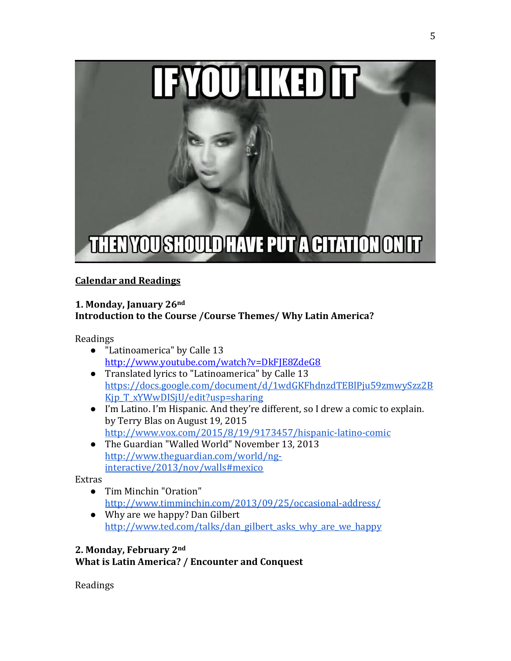

# **Calendar and Readings**

## **1. Monday, January 26nd Introduction to the Course /Course Themes/ Why Latin America?**

Readings

- "Latinoamerica" by Calle 13 <http://www.youtube.com/watch?v=DkFJE8ZdeG8>
- Translated lyrics to "Latinoamerica" by Calle 13 [https://docs.google.com/document/d/1wdGKFhdnzdTEBlPju59zmwySzz2B](https://docs.google.com/document/d/1wdGKFhdnzdTEBlPju59zmwySzz2BKjp_T_xYWwDISjU/edit?usp=sharing) Kjp T xYWwDISjU/edit?usp=sharing
- I'm Latino. I'm Hispanic. And they're different, so I drew a comic to explain. by Terry Blas on August 19, 2015 <http://www.vox.com/2015/8/19/9173457/hispanic-latino-comic>
- The Guardian "Walled World" November 13, 2013 [http://www.theguardian.com/world/ng](http://www.theguardian.com/world/ng-interactive/2013/nov/walls#mexico)[interactive/2013/nov/walls#mexico](http://www.theguardian.com/world/ng-interactive/2013/nov/walls#mexico)

Extras

- Tim Minchin "Oration" <http://www.timminchin.com/2013/09/25/occasional-address/>
- Why are we happy? Dan Gilbert [http://www.ted.com/talks/dan\\_gilbert\\_asks\\_why\\_are\\_we\\_happy](http://www.ted.com/talks/dan_gilbert_asks_why_are_we_happy)

# **2. Monday, February 2nd What is Latin America? / Encounter and Conquest**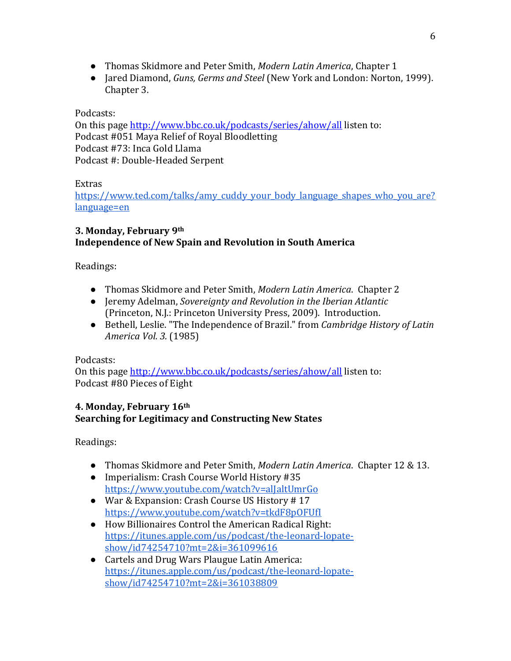- Thomas Skidmore and Peter Smith, *Modern Latin America*, Chapter 1
- Jared Diamond, *Guns, Germs and Steel* (New York and London: Norton, 1999). Chapter 3.

Podcasts:

On this page<http://www.bbc.co.uk/podcasts/series/ahow/all> listen to: Podcast #051 Maya Relief of Royal Bloodletting Podcast #73: [Inca Gold Llama](http://www.bbc.co.uk/ahistoryoftheworld/objects/l83ZQ7grS9iS0D84X8HRuA) Podcast #: [Double-Headed Serpent](http://www.bbc.co.uk/programmes/b00tt5tr)

Extras

[https://www.ted.com/talks/amy\\_cuddy\\_your\\_body\\_language\\_shapes\\_who\\_you\\_are?](https://www.ted.com/talks/amy_cuddy_your_body_language_shapes_who_you_are?language=en) [language=en](https://www.ted.com/talks/amy_cuddy_your_body_language_shapes_who_you_are?language=en)

# **3. Monday, February 9th Independence of New Spain and Revolution in South America**

Readings:

- Thomas Skidmore and Peter Smith, *Modern Latin America*. Chapter 2
- Jeremy Adelman, *Sovereignty and Revolution in the Iberian Atlantic*  (Princeton, N.J.: Princeton University Press, 2009). Introduction.
- Bethell, Leslie. "The Independence of Brazil." from *Cambridge History of Latin America Vol. 3.* (1985)

Podcasts:

On this page<http://www.bbc.co.uk/podcasts/series/ahow/all> listen to: Podcast #80 Pieces of Eight

# **4. Monday, February 16th Searching for Legitimacy and Constructing New States**

- Thomas Skidmore and Peter Smith, *Modern Latin America*. Chapter 12 & 13.
- Imperialism: Crash Course World History #35 <https://www.youtube.com/watch?v=alJaltUmrGo>
- War & Expansion: Crash Course US History # 17 <https://www.youtube.com/watch?v=tkdF8pOFUfI>
- How Billionaires Control the American Radical Right: [https://itunes.apple.com/us/podcast/the-leonard-lopate](https://itunes.apple.com/us/podcast/the-leonard-lopate-show/id74254710?mt=2&i=361099616)[show/id74254710?mt=2&i=361099616](https://itunes.apple.com/us/podcast/the-leonard-lopate-show/id74254710?mt=2&i=361099616)
- Cartels and Drug Wars Plaugue Latin America: [https://itunes.apple.com/us/podcast/the-leonard-lopate](https://itunes.apple.com/us/podcast/the-leonard-lopate-show/id74254710?mt=2&i=361038809)[show/id74254710?mt=2&i=361038809](https://itunes.apple.com/us/podcast/the-leonard-lopate-show/id74254710?mt=2&i=361038809)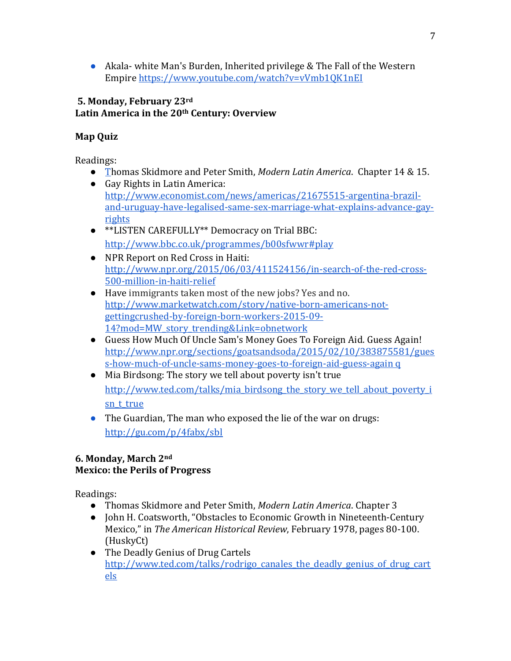● Akala- white Man's Burden, Inherited privilege & The Fall of the Western Empire https://www.youtube.com/watch?v=vVmb1QK1nEI

## **5. Monday, February 23rd Latin America in the 20th Century: Overview**

# **Map Quiz**

Readings:

- Thomas Skidmore and Peter Smith, *Modern Latin America*. Chapter 14 & 15.
- Gay Rights in Latin America: [http://www.economist.com/news/americas/21675515-argentina-brazil](http://www.economist.com/news/americas/21675515-argentina-brazil-and-uruguay-have-legalised-same-sex-marriage-what-explains-advance-gay-rights)[and-uruguay-have-legalised-same-sex-marriage-what-explains-advance-gay](http://www.economist.com/news/americas/21675515-argentina-brazil-and-uruguay-have-legalised-same-sex-marriage-what-explains-advance-gay-rights)[rights](http://www.economist.com/news/americas/21675515-argentina-brazil-and-uruguay-have-legalised-same-sex-marriage-what-explains-advance-gay-rights)
- \*\*LISTEN CAREFULLY\*\* Democracy on Trial BBC: <http://www.bbc.co.uk/programmes/b00sfwwr#play>
- NPR Report on Red Cross in Haiti: [http://www.npr.org/2015/06/03/411524156/in-search-of-the-red-cross-](http://www.npr.org/2015/06/03/411524156/in-search-of-the-red-cross-500-million-in-haiti-relief)[500-million-in-haiti-relief](http://www.npr.org/2015/06/03/411524156/in-search-of-the-red-cross-500-million-in-haiti-relief)
- Have immigrants taken most of the new jobs? Yes and no. [http://www.marketwatch.com/story/native-born-americans-not](http://www.marketwatch.com/story/native-born-americans-not-getting-crushed-by-foreign-born-workers-2015-09-14?mod=MW_story_trending&Link=obnetwork)[gettingcrushed-by-foreign-born-workers-2015-09-](http://www.marketwatch.com/story/native-born-americans-not-getting-crushed-by-foreign-born-workers-2015-09-14?mod=MW_story_trending&Link=obnetwork) [14?mod=MW\\_story\\_trending&Link=obnetwork](http://www.marketwatch.com/story/native-born-americans-not-getting-crushed-by-foreign-born-workers-2015-09-14?mod=MW_story_trending&Link=obnetwork)
- [Guess How Much Of Uncle Sam's Money Goes To Foreign Aid. Guess Again!](http://www.npr.org/sections/goatsandsoda/2015/02/10/383875581/guess-how-much-of-uncle-sams-money-goes-to-foreign-aid-guess-again)  [http://www.npr.org/sections/goatsandsoda/2015/02/10/383875581/gues](http://www.npr.org/sections/goatsandsoda/2015/02/10/383875581/guess-how-much-of-uncle-sams-money-goes-to-foreign-aid-guess-again)  [s-how-much-of-uncle-sams-money-goes-to-foreign-aid-guess-again](http://www.npr.org/sections/goatsandsoda/2015/02/10/383875581/guess-how-much-of-uncle-sams-money-goes-to-foreign-aid-guess-again) q
- Mia Birdsong: The story we tell about poverty isn't true [http://www.ted.com/talks/mia\\_birdsong\\_the\\_story\\_we\\_tell\\_about\\_poverty\\_i](http://www.ted.com/talks/mia_birdsong_the_story_we_tell_about_poverty_isn_t_true) sn t true
- The Guardian, The man who exposed the lie of the war on drugs: http://gu.com/p/4fabx/sbl

# **6. Monday, March 2nd Mexico: the Perils of Progress**

- Thomas Skidmore and Peter Smith, *Modern Latin America*. Chapter 3
- John H. Coatsworth, "Obstacles to Economic Growth in Nineteenth-Century Mexico," in *The American Historical Review*, February 1978, pages 80-100. (HuskyCt)
- The Deadly Genius of Drug Cartels [http://www.ted.com/talks/rodrigo\\_canales\\_the\\_deadly\\_genius\\_of\\_drug\\_cart](http://www.ted.com/talks/rodrigo_canales_the_deadly_genius_of_drug_cartels) [els](http://www.ted.com/talks/rodrigo_canales_the_deadly_genius_of_drug_cartels)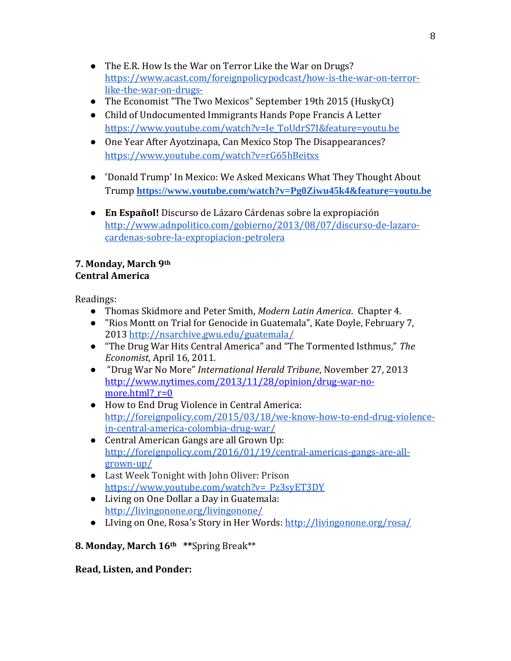- The E.R. How Is the War on Terror Like the War on Drugs? [https://www.acast.com/foreignpolicypodcast/how-is-the-war-on-terror](https://www.acast.com/foreignpolicypodcast/how-is-the-war-on-terror-like-the-war-on-drugs-)[like-the-war-on-drugs-](https://www.acast.com/foreignpolicypodcast/how-is-the-war-on-terror-like-the-war-on-drugs-)
- The Economist "The Two Mexicos" September 19th 2015 (HuskyCt)
- Child of Undocumented Immigrants Hands Pope Francis A Letter [https://www.youtube.com/watch?v=Ie\\_ToUdrS7I&feature=youtu.be](https://www.youtube.com/watch?v=Ie_ToUdrS7I&feature=youtu.be)
- One Year After Ayotzinapa, Can Mexico Stop The Disappearances? <https://www.youtube.com/watch?v=rG65hBeitxs>
- 'Donald Trump' In Mexico: We Asked Mexicans What They Thought About Trump **<https://www.youtube.com/watch?v=Pg0Ziwu45k4&feature=youtu.be>**
- **En Español!** Discurso de Lázaro Cárdenas sobre la expropiación [http://www.adnpolitico.com/gobierno/2013/08/07/discurso-de-lazaro](http://www.adnpolitico.com/gobierno/2013/08/07/discurso-de-lazaro-cardenas-sobre-la-expropiacion-petrolera)[cardenas-sobre-la-expropiacion-petrolera](http://www.adnpolitico.com/gobierno/2013/08/07/discurso-de-lazaro-cardenas-sobre-la-expropiacion-petrolera)

## **7. Monday, March 9th Central America**

Readings:

- Thomas Skidmore and Peter Smith, *Modern Latin America*. Chapter 4.
- "Rios Montt on Trial for Genocide in Guatemala", [Kate Doyle,](http://www.cipamericas.org/archives/author/kate-doyle) February 7, 2013<http://nsarchive.gwu.edu/guatemala/>
- "The Drug War Hits Central America" and "The Tormented Isthmus," *The Economist*, April 16, 2011.
- "Drug War No More" *International Herald Tribune*, November 27, 2013 [http://www.nytimes.com/2013/11/28/opinion/drug-war-no](http://www.nytimes.com/2013/11/28/opinion/drug-war-no-more.html?_r=0)more.html?  $r=0$
- How to End Drug Violence in Central America: [http://foreignpolicy.com/2015/03/18/we-know-how-to-end-drug-violence](http://foreignpolicy.com/2015/03/18/we-know-how-to-end-drug-violence-in-central-america-colombia-drug-war/)[in-central-america-colombia-drug-war/](http://foreignpolicy.com/2015/03/18/we-know-how-to-end-drug-violence-in-central-america-colombia-drug-war/)
- Central American Gangs are all Grown Up: [http://foreignpolicy.com/2016/01/19/central-americas-gangs-are-all](http://foreignpolicy.com/2016/01/19/central-americas-gangs-are-all-grown-up/)[grown-up/](http://foreignpolicy.com/2016/01/19/central-americas-gangs-are-all-grown-up/)
- Last Week Tonight with John Oliver: Prison [https://www.youtube.com/watch?v=\\_Pz3syET3DY](https://www.youtube.com/watch?v=_Pz3syET3DY)
- Living on One Dollar a Day in Guatemala: <http://livingonone.org/livingonone/>
- Living on One, Rosa's Story in Her Words:<http://livingonone.org/rosa/>

# **8. Monday, March 16th \*\***Spring Break\*\*

# **Read, Listen, and Ponder:**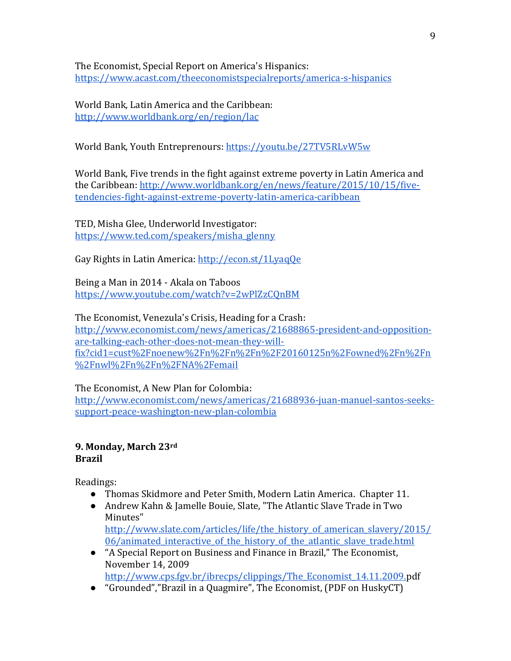The Economist, Special Report on America's Hispanics: <https://www.acast.com/theeconomistspecialreports/america-s-hispanics>

World Bank, Latin America and the Caribbean: <http://www.worldbank.org/en/region/lac>

World Bank, Youth Entreprenours:<https://youtu.be/27TV5RLvW5w>

World Bank, Five trends in the fight against extreme poverty in Latin America and the Caribbean: [http://www.worldbank.org/en/news/feature/2015/10/15/five](http://www.worldbank.org/en/news/feature/2015/10/15/five-tendencies-fight-against-extreme-poverty-latin-america-caribbean)[tendencies-fight-against-extreme-poverty-latin-america-caribbean](http://www.worldbank.org/en/news/feature/2015/10/15/five-tendencies-fight-against-extreme-poverty-latin-america-caribbean)

TED, Misha Glee, Underworld Investigator: [https://www.ted.com/speakers/misha\\_glenny](https://www.ted.com/speakers/misha_glenny)

Gay Rights in Latin America:<http://econ.st/1LyaqQe>

Being a Man in 2014 - Akala on Taboos <https://www.youtube.com/watch?v=2wPlZzCQnBM>

The Economist, Venezula's Crisis, Heading for a Crash: [http://www.economist.com/news/americas/21688865-president-and-opposition](http://www.economist.com/news/americas/21688865-president-and-opposition-are-talking-each-other-does-not-mean-they-will-fix?cid1=cust%2Fnoenew%2Fn%2Fn%2Fn%2F20160125n%2Fowned%2Fn%2Fn%2Fnwl%2Fn%2Fn%2FNA%2Femail)[are-talking-each-other-does-not-mean-they-will](http://www.economist.com/news/americas/21688865-president-and-opposition-are-talking-each-other-does-not-mean-they-will-fix?cid1=cust%2Fnoenew%2Fn%2Fn%2Fn%2F20160125n%2Fowned%2Fn%2Fn%2Fnwl%2Fn%2Fn%2FNA%2Femail)[fix?cid1=cust%2Fnoenew%2Fn%2Fn%2Fn%2F20160125n%2Fowned%2Fn%2Fn](http://www.economist.com/news/americas/21688865-president-and-opposition-are-talking-each-other-does-not-mean-they-will-fix?cid1=cust%2Fnoenew%2Fn%2Fn%2Fn%2F20160125n%2Fowned%2Fn%2Fn%2Fnwl%2Fn%2Fn%2FNA%2Femail) [%2Fnwl%2Fn%2Fn%2FNA%2Femail](http://www.economist.com/news/americas/21688865-president-and-opposition-are-talking-each-other-does-not-mean-they-will-fix?cid1=cust%2Fnoenew%2Fn%2Fn%2Fn%2F20160125n%2Fowned%2Fn%2Fn%2Fnwl%2Fn%2Fn%2FNA%2Femail)

The Economist, A New Plan for Colombia: [http://www.economist.com/news/americas/21688936-juan-manuel-santos-seeks](http://www.economist.com/news/americas/21688936-juan-manuel-santos-seeks-support-peace-washington-new-plan-colombia)[support-peace-washington-new-plan-colombia](http://www.economist.com/news/americas/21688936-juan-manuel-santos-seeks-support-peace-washington-new-plan-colombia)

## **9. Monday, March 23rd Brazil**

Readings:

- Thomas Skidmore and Peter Smith, Modern Latin America. Chapter 11.
- Andrew Kahn & Jamelle Bouie, Slate, "The Atlantic Slave Trade in Two Minutes"

[http://www.slate.com/articles/life/the\\_history\\_of\\_american\\_slavery/2015/](http://www.slate.com/articles/life/the_history_of_american_slavery/2015/06/animated_interactive_of_the_history_of_the_atlantic_slave_trade.html) 06/animated interactive of the history of the atlantic slave trade.html

- "A Special Report on Business and Finance in Brazil," The Economist, November 14, 2009 [http://www.cps.fgv.br/ibrecps/clippings/The\\_Economist\\_14.11.2009.p](http://www.cps.fgv.br/ibrecps/clippings/The_Economist_14.11.2009.pdf)df
- "Grounded","Brazil in a Quagmire", The Economist, (PDF on HuskyCT)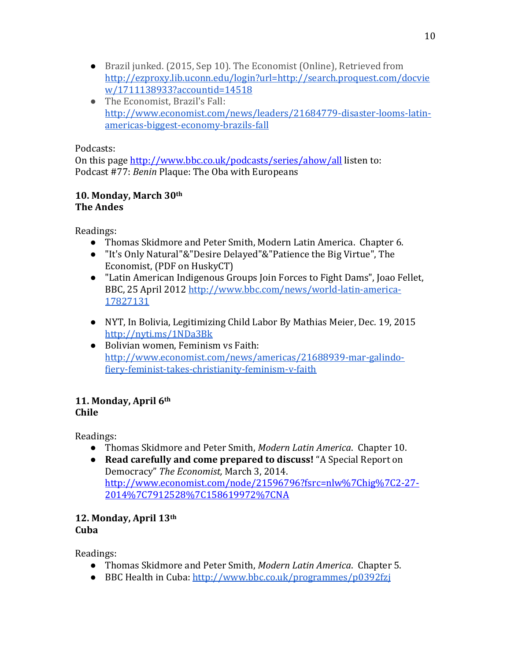- Brazil junked. (2015, Sep 10). The Economist (Online), Retrieved from [http://ezproxy.lib.uconn.edu/login?url=http://search.proquest.com/docvie](http://ezproxy.lib.uconn.edu/login?url=http://search.proquest.com/docview/1711138933?accountid=14518) [w/1711138933?accountid=14518](http://ezproxy.lib.uconn.edu/login?url=http://search.proquest.com/docview/1711138933?accountid=14518)
- The Economist, Brazil's Fall: [http://www.economist.com/news/leaders/21684779-disaster-looms-latin](http://www.economist.com/news/leaders/21684779-disaster-looms-latin-americas-biggest-economy-brazils-fall)[americas-biggest-economy-brazils-fall](http://www.economist.com/news/leaders/21684779-disaster-looms-latin-americas-biggest-economy-brazils-fall)

# Podcasts:

On this page<http://www.bbc.co.uk/podcasts/series/ahow/all> listen to: Podcast [#77:](http://www.bbc.co.uk/ahistoryoftheworld/objects/rmAT6B7zTZCGACd7i7l6Wg) *[Benin](http://www.bbc.co.uk/ahistoryoftheworld/objects/rmAT6B7zTZCGACd7i7l6Wg)* [Plaque: The Oba with Europeans](http://www.bbc.co.uk/ahistoryoftheworld/objects/rmAT6B7zTZCGACd7i7l6Wg)

### **10. Monday, March 30th The Andes**

Readings:

- Thomas Skidmore and Peter Smith, Modern Latin America. Chapter 6.
- "It's Only Natural"&"Desire Delayed"&"Patience the Big Virtue", The Economist, (PDF on HuskyCT)
- "Latin American Indigenous Groups Join Forces to Fight Dams", Joao Fellet, BBC, 25 April 2012 [http://www.bbc.com/news/world-latin-america-](http://www.bbc.com/news/world-latin-america-17827131)[17827131](http://www.bbc.com/news/world-latin-america-17827131)
- NYT, In Bolivia, Legitimizing Child Labor By Mathias Meier, Dec. 19, 2015 <http://nyti.ms/1NDa3Bk>
- Bolivian women, Feminism vs Faith: [http://www.economist.com/news/americas/21688939-mar-galindo](http://www.economist.com/news/americas/21688939-mar-galindo-fiery-feminist-takes-christianity-feminism-v-faith)[fiery-feminist-takes-christianity-feminism-v-faith](http://www.economist.com/news/americas/21688939-mar-galindo-fiery-feminist-takes-christianity-feminism-v-faith)

# **11. Monday, April 6th Chile**

Readings:

- Thomas Skidmore and Peter Smith, *Modern Latin America*. Chapter 10.
- **Read carefully and come prepared to discuss!** "A Special Report on Democracy" *The Economist,* March 3, 2014. [http://www.economist.com/node/21596796?fsrc=nlw%7Chig%7C2-27-](http://www.economist.com/node/21596796?fsrc=nlw%7Chig%7C2-27-2014%7C7912528%7C158619972%7CNA) [2014%7C7912528%7C158619972%7CNA](http://www.economist.com/node/21596796?fsrc=nlw%7Chig%7C2-27-2014%7C7912528%7C158619972%7CNA)

# **12. Monday, April 13th**

**Cuba**

- Thomas Skidmore and Peter Smith, *Modern Latin America*. Chapter 5.
- BBC Health in Cuba:<http://www.bbc.co.uk/programmes/p0392fzj>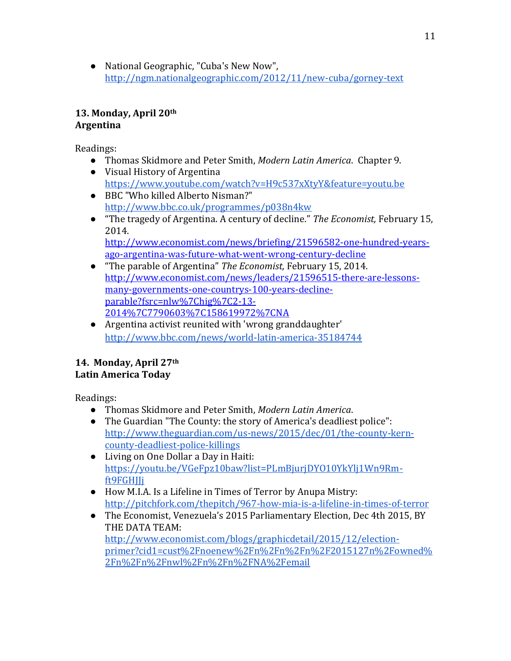● National Geographic, "Cuba's New Now", <http://ngm.nationalgeographic.com/2012/11/new-cuba/gorney-text>

# **13. Monday, April 20th Argentina**

Readings:

- Thomas Skidmore and Peter Smith, *Modern Latin America*. Chapter 9.
- Visual History of Argentina <https://www.youtube.com/watch?v=H9c537xXtyY&feature=youtu.be>
- BBC "Who killed Alberto Nisman?" <http://www.bbc.co.uk/programmes/p038n4kw>
- "The tragedy of Argentina. A century of decline." *The Economist,* February 15, 2014. [http://www.economist.com/news/briefing/21596582-one-hundred-years-](http://www.economist.com/news/briefing/21596582-one-hundred-years-ago-argentina-was-future-what-went-wrong-century-decline)

[ago-argentina-was-future-what-went-wrong-century-decline](http://www.economist.com/news/briefing/21596582-one-hundred-years-ago-argentina-was-future-what-went-wrong-century-decline)

- "The parable of Argentina" *The Economist,* February 15, 2014. [http://www.economist.com/news/leaders/21596515-there-are-lessons](http://www.economist.com/news/leaders/21596515-there-are-lessons-many-governments-one-countrys-100-years-decline-parable?fsrc=nlw%7Chig%7C2-13-2014%7C7790603%7C158619972%7CNA)[many-governments-one-countrys-100-years-decline](http://www.economist.com/news/leaders/21596515-there-are-lessons-many-governments-one-countrys-100-years-decline-parable?fsrc=nlw%7Chig%7C2-13-2014%7C7790603%7C158619972%7CNA)[parable?fsrc=nlw%7Chig%7C2-13-](http://www.economist.com/news/leaders/21596515-there-are-lessons-many-governments-one-countrys-100-years-decline-parable?fsrc=nlw%7Chig%7C2-13-2014%7C7790603%7C158619972%7CNA) [2014%7C7790603%7C158619972%7CNA](http://www.economist.com/news/leaders/21596515-there-are-lessons-many-governments-one-countrys-100-years-decline-parable?fsrc=nlw%7Chig%7C2-13-2014%7C7790603%7C158619972%7CNA)
- Argentina activist reunited with 'wrong granddaughter' [http://www.bbc.com/news/world-latin-america-35184744](http://www.bbc.com/news/world-latin-america-35184744n)

# **14. Monday, April 27th Latin America Today**

- Thomas Skidmore and Peter Smith, *Modern Latin America*.
- The Guardian "The County: the story of America's deadliest police": [http://www.theguardian.com/us-news/2015/dec/01/the-county-kern](http://www.theguardian.com/us-news/2015/dec/01/the-county-kern-county-deadliest-police-killings)[county-deadliest-police-killings](http://www.theguardian.com/us-news/2015/dec/01/the-county-kern-county-deadliest-police-killings)
- Living on One Dollar a Day in Haiti: [https://youtu.be/VGeFpz10baw?list=PLmBjurjDYO10YkYlj1Wn9Rm](https://youtu.be/VGeFpz10baw?list=PLmBjurjDYO10YkYlj1Wn9Rm-ft9FGHJJj)[ft9FGHJJj](https://youtu.be/VGeFpz10baw?list=PLmBjurjDYO10YkYlj1Wn9Rm-ft9FGHJJj)
- How M.I.A. Is a Lifeline in Times of Terror by [Anupa Mistry:](http://pitchfork.com/staff/anupa-mistry/) [http://pitchfork.com/thepitch/967-how-mia-is-a-lifeline-in-times-of-terror](http://pitchfork.com/thepitch/967-how-mia-is-a-lifeline-in-times-of-terror/)
- The Economist, Venezuela's 2015 Parliamentary Election, Dec 4th 2015, BY THE DATA TEAM: [http://www.economist.com/blogs/graphicdetail/2015/12/election](http://www.economist.com/blogs/graphicdetail/2015/12/election-primer?cid1=cust%2Fnoenew%2Fn%2Fn%2Fn%2F2015127n%2Fowned%2Fn%2Fn%2Fnwl%2Fn%2Fn%2FNA%2Femail)[primer?cid1=cust%2Fnoenew%2Fn%2Fn%2Fn%2F2015127n%2Fowned%](http://www.economist.com/blogs/graphicdetail/2015/12/election-primer?cid1=cust%2Fnoenew%2Fn%2Fn%2Fn%2F2015127n%2Fowned%2Fn%2Fn%2Fnwl%2Fn%2Fn%2FNA%2Femail) [2Fn%2Fn%2Fnwl%2Fn%2Fn%2FNA%2Femail](http://www.economist.com/blogs/graphicdetail/2015/12/election-primer?cid1=cust%2Fnoenew%2Fn%2Fn%2Fn%2F2015127n%2Fowned%2Fn%2Fn%2Fnwl%2Fn%2Fn%2FNA%2Femail)